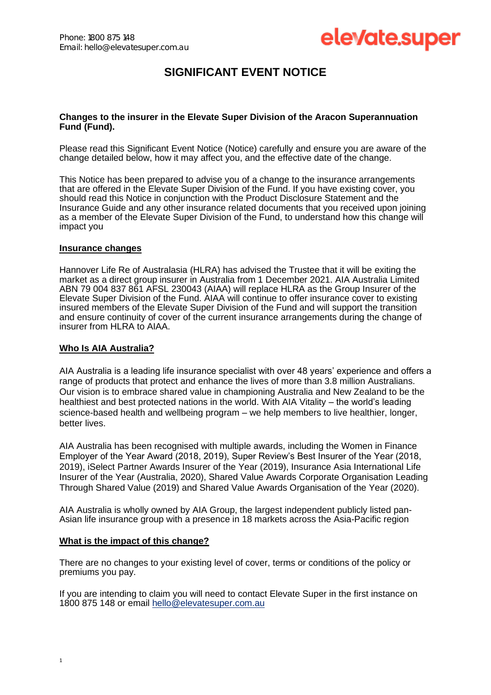# elevate.super

# **SIGNIFICANT EVENT NOTICE**

## **Changes to the insurer in the Elevate Super Division of the Aracon Superannuation Fund (Fund).**

Please read this Significant Event Notice (Notice) carefully and ensure you are aware of the change detailed below, how it may affect you, and the effective date of the change.

This Notice has been prepared to advise you of a change to the insurance arrangements that are offered in the Elevate Super Division of the Fund. If you have existing cover, you should read this Notice in conjunction with the Product Disclosure Statement and the Insurance Guide and any other insurance related documents that you received upon joining as a member of the Elevate Super Division of the Fund, to understand how this change will impact you

## **Insurance changes**

Hannover Life Re of Australasia (HLRA) has advised the Trustee that it will be exiting the market as a direct group insurer in Australia from 1 December 2021. AIA Australia Limited ABN 79 004 837 861 AFSL 230043 (AIAA) will replace HLRA as the Group Insurer of the Elevate Super Division of the Fund. AIAA will continue to offer insurance cover to existing insured members of the Elevate Super Division of the Fund and will support the transition and ensure continuity of cover of the current insurance arrangements during the change of insurer from HLRA to AIAA.

# **Who Is AIA Australia?**

AIA Australia is a leading life insurance specialist with over 48 years' experience and offers a range of products that protect and enhance the lives of more than 3.8 million Australians. Our vision is to embrace shared value in championing Australia and New Zealand to be the healthiest and best protected nations in the world. With AIA Vitality – the world's leading science-based health and wellbeing program – we help members to live healthier, longer, better lives.

AIA Australia has been recognised with multiple awards, including the Women in Finance Employer of the Year Award (2018, 2019), Super Review's Best Insurer of the Year (2018, 2019), iSelect Partner Awards Insurer of the Year (2019), Insurance Asia International Life Insurer of the Year (Australia, 2020), Shared Value Awards Corporate Organisation Leading Through Shared Value (2019) and Shared Value Awards Organisation of the Year (2020).

AIA Australia is wholly owned by AIA Group, the largest independent publicly listed pan-Asian life insurance group with a presence in 18 markets across the Asia-Pacific region

## **What is the impact of this change?**

There are no changes to your existing level of cover, terms or conditions of the policy or premiums you pay.

If you are intending to claim you will need to contact Elevate Super in the first instance on 1800 875 148 or email [hello@elevatesuper.com.au](mailto:hello@elevatesuper.com.au)